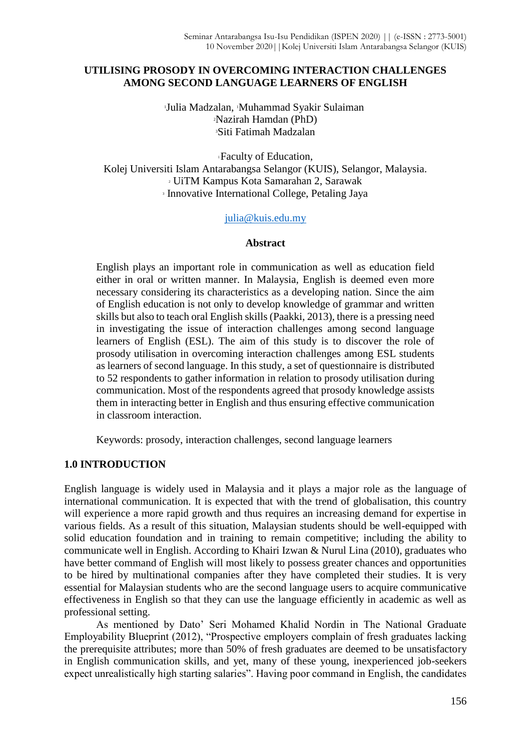# **UTILISING PROSODY IN OVERCOMING INTERACTION CHALLENGES AMONG SECOND LANGUAGE LEARNERS OF ENGLISH**

<sup>1</sup>Julia Madzalan, 1Muhammad Syakir Sulaiman <sup>2</sup>Nazirah Hamdan (PhD) <sup>3</sup>Siti Fatimah Madzalan

Faculty of Education, Kolej Universiti Islam Antarabangsa Selangor (KUIS), Selangor, Malaysia. UiTM Kampus Kota Samarahan 2, Sarawak Innovative International College, Petaling Jaya

#### [julia@kuis.edu.my](mailto:julia@kuis.edu.my)

#### **Abstract**

English plays an important role in communication as well as education field either in oral or written manner. In Malaysia, English is deemed even more necessary considering its characteristics as a developing nation. Since the aim of English education is not only to develop knowledge of grammar and written skills but also to teach oral English skills (Paakki, 2013), there is a pressing need in investigating the issue of interaction challenges among second language learners of English (ESL). The aim of this study is to discover the role of prosody utilisation in overcoming interaction challenges among ESL students as learners of second language. In this study, a set of questionnaire is distributed to 52 respondents to gather information in relation to prosody utilisation during communication. Most of the respondents agreed that prosody knowledge assists them in interacting better in English and thus ensuring effective communication in classroom interaction.

Keywords: prosody, interaction challenges, second language learners

## **1.0 INTRODUCTION**

English language is widely used in Malaysia and it plays a major role as the language of international communication. It is expected that with the trend of globalisation, this country will experience a more rapid growth and thus requires an increasing demand for expertise in various fields. As a result of this situation, Malaysian students should be well-equipped with solid education foundation and in training to remain competitive; including the ability to communicate well in English. According to Khairi Izwan & Nurul Lina (2010), graduates who have better command of English will most likely to possess greater chances and opportunities to be hired by multinational companies after they have completed their studies. It is very essential for Malaysian students who are the second language users to acquire communicative effectiveness in English so that they can use the language efficiently in academic as well as professional setting.

As mentioned by Dato' Seri Mohamed Khalid Nordin in The National Graduate Employability Blueprint (2012), "Prospective employers complain of fresh graduates lacking the prerequisite attributes; more than 50% of fresh graduates are deemed to be unsatisfactory in English communication skills, and yet, many of these young, inexperienced job-seekers expect unrealistically high starting salaries". Having poor command in English, the candidates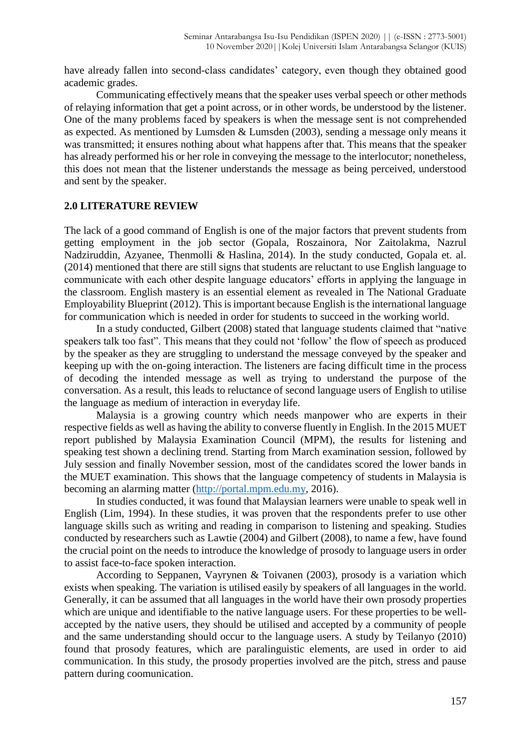have already fallen into second-class candidates' category, even though they obtained good academic grades.

Communicating effectively means that the speaker uses verbal speech or other methods of relaying information that get a point across, or in other words, be understood by the listener. One of the many problems faced by speakers is when the message sent is not comprehended as expected. As mentioned by Lumsden & Lumsden (2003), sending a message only means it was transmitted; it ensures nothing about what happens after that. This means that the speaker has already performed his or her role in conveying the message to the interlocutor; nonetheless, this does not mean that the listener understands the message as being perceived, understood and sent by the speaker.

#### **2.0 LITERATURE REVIEW**

The lack of a good command of English is one of the major factors that prevent students from getting employment in the job sector (Gopala, Roszainora, Nor Zaitolakma, Nazrul Nadziruddin, Azyanee, Thenmolli & Haslina, 2014). In the study conducted, Gopala et. al. (2014) mentioned that there are still signs that students are reluctant to use English language to communicate with each other despite language educators' efforts in applying the language in the classroom. English mastery is an essential element as revealed in The National Graduate Employability Blueprint (2012). This is important because English is the international language for communication which is needed in order for students to succeed in the working world.

In a study conducted, Gilbert (2008) stated that language students claimed that "native speakers talk too fast". This means that they could not 'follow' the flow of speech as produced by the speaker as they are struggling to understand the message conveyed by the speaker and keeping up with the on-going interaction. The listeners are facing difficult time in the process of decoding the intended message as well as trying to understand the purpose of the conversation. As a result, this leads to reluctance of second language users of English to utilise the language as medium of interaction in everyday life.

Malaysia is a growing country which needs manpower who are experts in their respective fields as well as having the ability to converse fluently in English. In the 2015 MUET report published by Malaysia Examination Council (MPM), the results for listening and speaking test shown a declining trend. Starting from March examination session, followed by July session and finally November session, most of the candidates scored the lower bands in the MUET examination. This shows that the language competency of students in Malaysia is becoming an alarming matter [\(http://portal.mpm.edu.my,](http://portal.mpm.edu.my/) 2016).

In studies conducted, it was found that Malaysian learners were unable to speak well in English (Lim, 1994). In these studies, it was proven that the respondents prefer to use other language skills such as writing and reading in comparison to listening and speaking. Studies conducted by researchers such as Lawtie (2004) and Gilbert (2008), to name a few, have found the crucial point on the needs to introduce the knowledge of prosody to language users in order to assist face-to-face spoken interaction.

According to Seppanen, Vayrynen & Toivanen (2003), prosody is a variation which exists when speaking. The variation is utilised easily by speakers of all languages in the world. Generally, it can be assumed that all languages in the world have their own prosody properties which are unique and identifiable to the native language users. For these properties to be wellaccepted by the native users, they should be utilised and accepted by a community of people and the same understanding should occur to the language users. A study by Teilanyo (2010) found that prosody features, which are paralinguistic elements, are used in order to aid communication. In this study, the prosody properties involved are the pitch, stress and pause pattern during coomunication.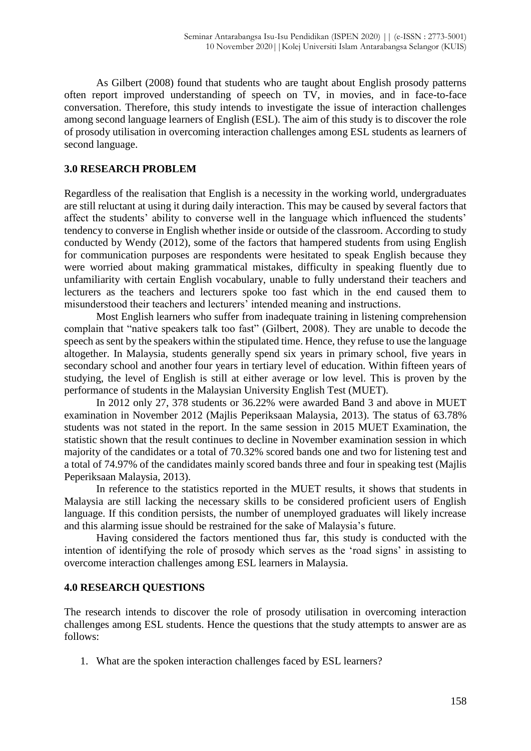As Gilbert (2008) found that students who are taught about English prosody patterns often report improved understanding of speech on TV, in movies, and in face-to-face conversation. Therefore, this study intends to investigate the issue of interaction challenges among second language learners of English (ESL). The aim of this study is to discover the role of prosody utilisation in overcoming interaction challenges among ESL students as learners of second language.

# **3.0 RESEARCH PROBLEM**

Regardless of the realisation that English is a necessity in the working world, undergraduates are still reluctant at using it during daily interaction. This may be caused by several factors that affect the students' ability to converse well in the language which influenced the students' tendency to converse in English whether inside or outside of the classroom. According to study conducted by Wendy (2012), some of the factors that hampered students from using English for communication purposes are respondents were hesitated to speak English because they were worried about making grammatical mistakes, difficulty in speaking fluently due to unfamiliarity with certain English vocabulary, unable to fully understand their teachers and lecturers as the teachers and lecturers spoke too fast which in the end caused them to misunderstood their teachers and lecturers' intended meaning and instructions.

Most English learners who suffer from inadequate training in listening comprehension complain that "native speakers talk too fast" (Gilbert, 2008). They are unable to decode the speech as sent by the speakers within the stipulated time. Hence, they refuse to use the language altogether. In Malaysia, students generally spend six years in primary school, five years in secondary school and another four years in tertiary level of education. Within fifteen years of studying, the level of English is still at either average or low level. This is proven by the performance of students in the Malaysian University English Test (MUET).

In 2012 only 27, 378 students or 36.22% were awarded Band 3 and above in MUET examination in November 2012 (Majlis Peperiksaan Malaysia, 2013). The status of 63.78% students was not stated in the report. In the same session in 2015 MUET Examination, the statistic shown that the result continues to decline in November examination session in which majority of the candidates or a total of 70.32% scored bands one and two for listening test and a total of 74.97% of the candidates mainly scored bands three and four in speaking test (Majlis Peperiksaan Malaysia, 2013).

In reference to the statistics reported in the MUET results, it shows that students in Malaysia are still lacking the necessary skills to be considered proficient users of English language. If this condition persists, the number of unemployed graduates will likely increase and this alarming issue should be restrained for the sake of Malaysia's future.

Having considered the factors mentioned thus far, this study is conducted with the intention of identifying the role of prosody which serves as the 'road signs' in assisting to overcome interaction challenges among ESL learners in Malaysia.

## **4.0 RESEARCH QUESTIONS**

The research intends to discover the role of prosody utilisation in overcoming interaction challenges among ESL students. Hence the questions that the study attempts to answer are as follows:

1. What are the spoken interaction challenges faced by ESL learners?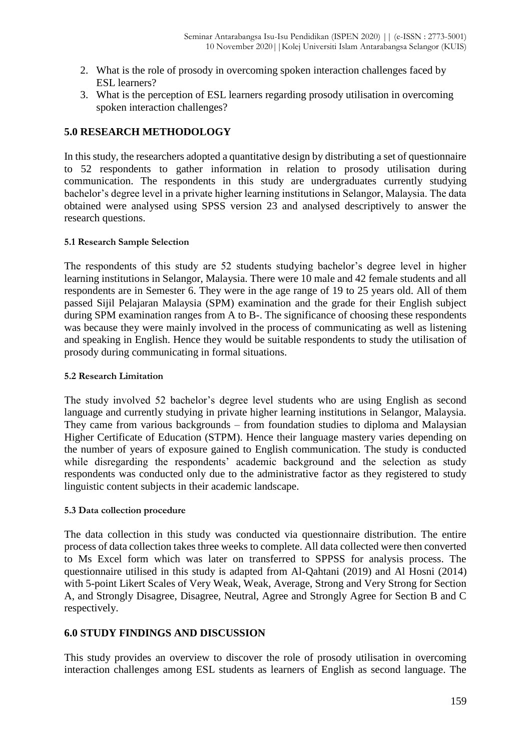- 2. What is the role of prosody in overcoming spoken interaction challenges faced by ESL learners?
- 3. What is the perception of ESL learners regarding prosody utilisation in overcoming spoken interaction challenges?

# **5.0 RESEARCH METHODOLOGY**

In this study, the researchers adopted a quantitative design by distributing a set of questionnaire to 52 respondents to gather information in relation to prosody utilisation during communication. The respondents in this study are undergraduates currently studying bachelor's degree level in a private higher learning institutions in Selangor, Malaysia. The data obtained were analysed using SPSS version 23 and analysed descriptively to answer the research questions.

## **5.1 Research Sample Selection**

The respondents of this study are 52 students studying bachelor's degree level in higher learning institutions in Selangor, Malaysia. There were 10 male and 42 female students and all respondents are in Semester 6. They were in the age range of 19 to 25 years old. All of them passed Sijil Pelajaran Malaysia (SPM) examination and the grade for their English subject during SPM examination ranges from A to B-. The significance of choosing these respondents was because they were mainly involved in the process of communicating as well as listening and speaking in English. Hence they would be suitable respondents to study the utilisation of prosody during communicating in formal situations.

## **5.2 Research Limitation**

The study involved 52 bachelor's degree level students who are using English as second language and currently studying in private higher learning institutions in Selangor, Malaysia. They came from various backgrounds – from foundation studies to diploma and Malaysian Higher Certificate of Education (STPM). Hence their language mastery varies depending on the number of years of exposure gained to English communication. The study is conducted while disregarding the respondents' academic background and the selection as study respondents was conducted only due to the administrative factor as they registered to study linguistic content subjects in their academic landscape.

## **5.3 Data collection procedure**

The data collection in this study was conducted via questionnaire distribution. The entire process of data collection takes three weeks to complete. All data collected were then converted to Ms Excel form which was later on transferred to SPPSS for analysis process. The questionnaire utilised in this study is adapted from Al-Qahtani (2019) and Al Hosni (2014) with 5-point Likert Scales of Very Weak, Weak, Average, Strong and Very Strong for Section A, and Strongly Disagree, Disagree, Neutral, Agree and Strongly Agree for Section B and C respectively.

# **6.0 STUDY FINDINGS AND DISCUSSION**

This study provides an overview to discover the role of prosody utilisation in overcoming interaction challenges among ESL students as learners of English as second language. The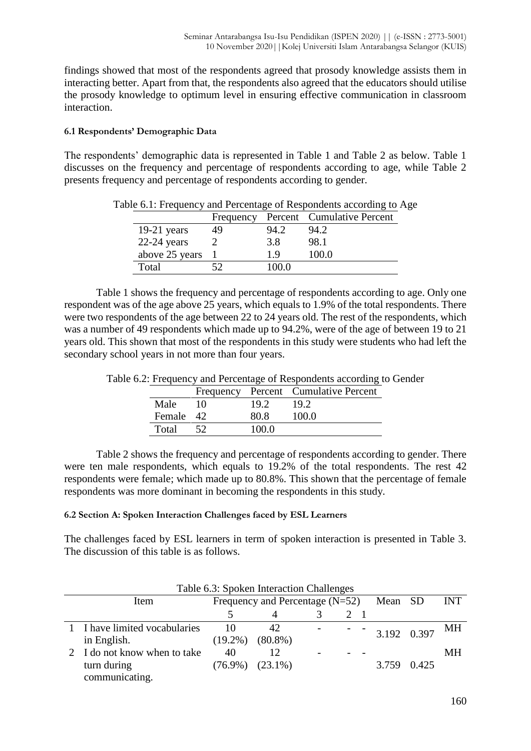findings showed that most of the respondents agreed that prosody knowledge assists them in interacting better. Apart from that, the respondents also agreed that the educators should utilise the prosody knowledge to optimum level in ensuring effective communication in classroom interaction.

## **6.1 Respondents' Demographic Data**

The respondents' demographic data is represented in Table 1 and Table 2 as below. Table 1 discusses on the frequency and percentage of respondents according to age, while Table 2 presents frequency and percentage of respondents according to gender.

|                | Frequency |       | Percent Cumulative Percent |
|----------------|-----------|-------|----------------------------|
| $19-21$ years  | 49        | 94.2  | 94.2                       |
| $22-24$ years  |           | 3.8   | 98.1                       |
| above 25 years |           | 19    | 100.0                      |
| Total          | 52        | 100.0 |                            |

Table 6.1: Frequency and Percentage of Respondents according to Age

Table 1 shows the frequency and percentage of respondents according to age. Only one respondent was of the age above 25 years, which equals to 1.9% of the total respondents. There were two respondents of the age between 22 to 24 years old. The rest of the respondents, which was a number of 49 respondents which made up to 94.2%, were of the age of between 19 to 21 years old. This shown that most of the respondents in this study were students who had left the secondary school years in not more than four years.

|           |    |       | Frequency Percent Cumulative Percent |
|-----------|----|-------|--------------------------------------|
| Male      | 10 | 19.2  | 19.2                                 |
| Female 42 |    | 80 R  | 100 O                                |
| Total     |    | 100 O |                                      |
|           |    |       |                                      |

Table 6.2: Frequency and Percentage of Respondents according to Gender

Table 2 shows the frequency and percentage of respondents according to gender. There were ten male respondents, which equals to 19.2% of the total respondents. The rest 42 respondents were female; which made up to 80.8%. This shown that the percentage of female respondents was more dominant in becoming the respondents in this study.

## **6.2 Section A: Spoken Interaction Challenges faced by ESL Learners**

The challenges faced by ESL learners in term of spoken interaction is presented in Table 3. The discussion of this table is as follows.

| I able 0.3: Spoken interaction Challenges |                                           |                       |  |  |  |               |       |            |  |  |
|-------------------------------------------|-------------------------------------------|-----------------------|--|--|--|---------------|-------|------------|--|--|
| Item                                      | Frequency and Percentage $(N=52)$ Mean SD |                       |  |  |  |               |       | <b>INT</b> |  |  |
|                                           |                                           |                       |  |  |  |               |       |            |  |  |
| 1 I have limited vocabularies             | 10                                        | 42.                   |  |  |  | $3.192$ 0.397 |       | МH         |  |  |
| in English.                               | $(19.2\%)$                                | $(80.8\%)$            |  |  |  |               |       |            |  |  |
| 2 I do not know when to take              | 40                                        |                       |  |  |  |               |       | MН         |  |  |
| turn during                               |                                           | $(76.9\%)$ $(23.1\%)$ |  |  |  | 3.759         | 0.425 |            |  |  |
| communicating.                            |                                           |                       |  |  |  |               |       |            |  |  |

Table 6.3: Spoken Interaction Challenges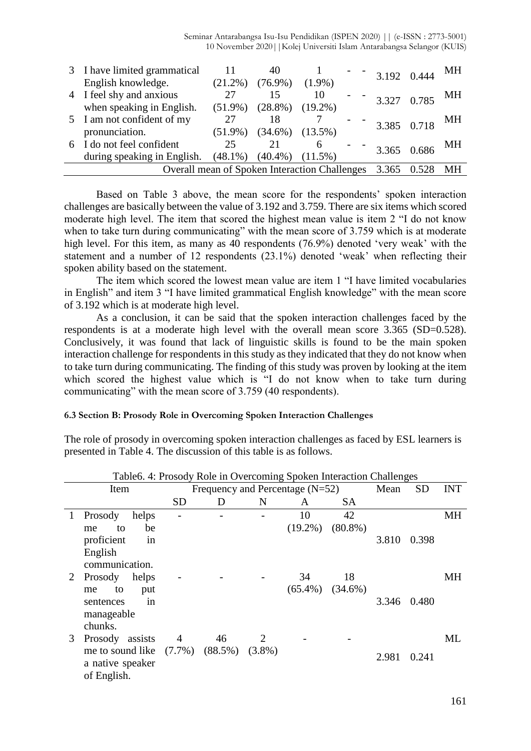|   | 3 I have limited grammatical                  |            |            |            |  | 3.192 0.444 | МH |
|---|-----------------------------------------------|------------|------------|------------|--|-------------|----|
|   | English knowledge.                            | $(21.2\%)$ | $(76.9\%)$ | $(1.9\%)$  |  |             |    |
|   | 4 I feel shy and anxious                      | 27         |            | 10         |  | 3.327 0.785 | МH |
|   | when speaking in English.                     | $(51.9\%)$ | $(28.8\%)$ | $(19.2\%)$ |  |             |    |
|   | 5 I am not confident of my                    | 27         | 18         |            |  | 3.385 0.718 | МH |
|   | pronunciation.                                | $(51.9\%)$ | $(34.6\%)$ | $(13.5\%)$ |  |             |    |
| 6 | I do not feel confident                       | 25         |            | 6          |  | 3.365 0.686 | MН |
|   | during speaking in English.                   | $(48.1\%)$ | (40.4%)    | $(11.5\%)$ |  |             |    |
|   | Overall mean of Spoken Interaction Challenges | 3.365      | MН         |            |  |             |    |

Based on Table 3 above, the mean score for the respondents' spoken interaction challenges are basically between the value of 3.192 and 3.759. There are six items which scored moderate high level. The item that scored the highest mean value is item 2 "I do not know when to take turn during communicating" with the mean score of 3.759 which is at moderate high level. For this item, as many as 40 respondents (76.9%) denoted 'very weak' with the statement and a number of 12 respondents (23.1%) denoted 'weak' when reflecting their spoken ability based on the statement.

The item which scored the lowest mean value are item 1 "I have limited vocabularies in English" and item 3 "I have limited grammatical English knowledge" with the mean score of 3.192 which is at moderate high level.

As a conclusion, it can be said that the spoken interaction challenges faced by the respondents is at a moderate high level with the overall mean score 3.365 (SD=0.528). Conclusively, it was found that lack of linguistic skills is found to be the main spoken interaction challenge for respondents in this study as they indicated that they do not know when to take turn during communicating. The finding of this study was proven by looking at the item which scored the highest value which is "I do not know when to take turn during communicating" with the mean score of 3.759 (40 respondents).

#### **6.3 Section B: Prosody Role in Overcoming Spoken Interaction Challenges**

The role of prosody in overcoming spoken interaction challenges as faced by ESL learners is presented in Table 4. The discussion of this table is as follows.

|   | Tableo. 4: Prosody Role in Overcoming Spoken Interaction Challenges |           |                                   |           |            |                       |       |           |            |
|---|---------------------------------------------------------------------|-----------|-----------------------------------|-----------|------------|-----------------------|-------|-----------|------------|
|   | Item                                                                |           | Frequency and Percentage $(N=52)$ |           |            |                       | Mean  | <b>SD</b> | <b>INT</b> |
|   |                                                                     | <b>SD</b> | D                                 | N         | A          | <b>SA</b>             |       |           |            |
| 1 | Prosody<br>helps                                                    |           |                                   |           | 10         | 42                    |       |           | MH         |
|   | be<br>to<br>me                                                      |           |                                   |           | $(19.2\%)$ | $(80.8\%)$            |       |           |            |
|   | proficient<br>in                                                    |           |                                   |           |            |                       | 3.810 | 0.398     |            |
|   | English                                                             |           |                                   |           |            |                       |       |           |            |
|   | communication.                                                      |           |                                   |           |            |                       |       |           |            |
| 2 | Prosody<br>helps                                                    |           |                                   |           | 34         | 18                    |       |           | MH         |
|   | to<br>put<br>me                                                     |           |                                   |           |            | $(65.4\%)$ $(34.6\%)$ |       |           |            |
|   | in<br>sentences                                                     |           |                                   |           |            |                       | 3.346 | 0.480     |            |
|   | manageable                                                          |           |                                   |           |            |                       |       |           |            |
|   | chunks.                                                             |           |                                   |           |            |                       |       |           |            |
| 3 | Prosody assists                                                     | 4         | 46                                | 2         |            |                       |       |           | ML         |
|   | me to sound like $(7.7\%)$<br>a native speaker<br>of English.       |           | $(88.5\%)$                        | $(3.8\%)$ |            |                       | 2.981 | 0.241     |            |

Table6. 4: Prosody Role in Overcoming Spoken Interaction Challenges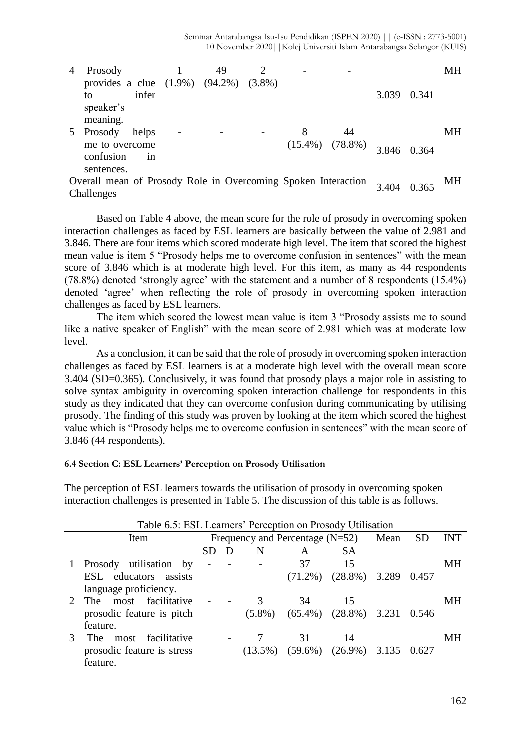Seminar Antarabangsa Isu-Isu Pendidikan (ISPEN 2020) || (e-ISSN : 2773-5001) 10 November 2020||Kolej Universiti Islam Antarabangsa Selangor (KUIS)

| 4 | Prosody                                                       |       | 49 |   |                       |       |       | MН  |
|---|---------------------------------------------------------------|-------|----|---|-----------------------|-------|-------|-----|
|   | provides a clue (1.9%) (94.2%) (3.8%)                         |       |    |   |                       |       |       |     |
|   | to                                                            | infer |    |   |                       | 3.039 | 0.341 |     |
|   | speaker's                                                     |       |    |   |                       |       |       |     |
|   | meaning.                                                      |       |    |   |                       |       |       |     |
|   | Prosody                                                       | helps |    | 8 | 44                    |       |       | MН  |
|   | me to overcome                                                |       |    |   | $(15.4\%)$ $(78.8\%)$ | 3.846 | 0.364 |     |
|   | confusion                                                     | 1n    |    |   |                       |       |       |     |
|   | sentences.                                                    |       |    |   |                       |       |       |     |
|   | Overall mean of Prosody Role in Overcoming Spoken Interaction |       |    |   |                       | 3.404 | 0.365 | MH. |
|   | Challenges                                                    |       |    |   |                       |       |       |     |

Based on Table 4 above, the mean score for the role of prosody in overcoming spoken interaction challenges as faced by ESL learners are basically between the value of 2.981 and 3.846. There are four items which scored moderate high level. The item that scored the highest mean value is item 5 "Prosody helps me to overcome confusion in sentences" with the mean score of 3.846 which is at moderate high level. For this item, as many as 44 respondents (78.8%) denoted 'strongly agree' with the statement and a number of 8 respondents (15.4%) denoted 'agree' when reflecting the role of prosody in overcoming spoken interaction challenges as faced by ESL learners.

The item which scored the lowest mean value is item 3 "Prosody assists me to sound like a native speaker of English" with the mean score of 2.981 which was at moderate low level.

As a conclusion, it can be said that the role of prosody in overcoming spoken interaction challenges as faced by ESL learners is at a moderate high level with the overall mean score 3.404 (SD=0.365). Conclusively, it was found that prosody plays a major role in assisting to solve syntax ambiguity in overcoming spoken interaction challenge for respondents in this study as they indicated that they can overcome confusion during communicating by utilising prosody. The finding of this study was proven by looking at the item which scored the highest value which is "Prosody helps me to overcome confusion in sentences" with the mean score of 3.846 (44 respondents).

#### **6.4 Section C: ESL Learners' Perception on Prosody Utilisation**

| Table 6.5: ESL Learners' Perception on Prosody Utilisation |                               |                |  |            |                                   |            |       |           |            |  |
|------------------------------------------------------------|-------------------------------|----------------|--|------------|-----------------------------------|------------|-------|-----------|------------|--|
|                                                            | Item                          |                |  |            | Frequency and Percentage $(N=52)$ |            | Mean  | <b>SD</b> | <b>INT</b> |  |
|                                                            |                               | <b>SD</b>      |  | N          | A                                 | SА         |       |           |            |  |
|                                                            | Prosody utilisation by        | $\overline{a}$ |  |            | 37                                | 15         |       |           | MН         |  |
|                                                            | ESL educators assists         |                |  |            | $(71.2\%)$                        | $(28.8\%)$ | 3.289 | 0.457     |            |  |
|                                                            | language proficiency.         |                |  |            |                                   |            |       |           |            |  |
|                                                            | The most facilitative         |                |  | 3          | 34                                | 15         |       |           | MН         |  |
|                                                            | prosodic feature is pitch     |                |  | $(5.8\%)$  | $(65.4\%)$                        | $(28.8\%)$ | 3.231 | 0.546     |            |  |
|                                                            | feature.                      |                |  |            |                                   |            |       |           |            |  |
| 3                                                          | facilitative<br>The T<br>most |                |  |            | 31                                | 14         |       |           | MН         |  |
|                                                            | prosodic feature is stress    |                |  | $(13.5\%)$ | $(59.6\%)$                        | $(26.9\%)$ | 3.135 | 0.627     |            |  |
|                                                            | feature.                      |                |  |            |                                   |            |       |           |            |  |

The perception of ESL learners towards the utilisation of prosody in overcoming spoken interaction challenges is presented in Table 5. The discussion of this table is as follows.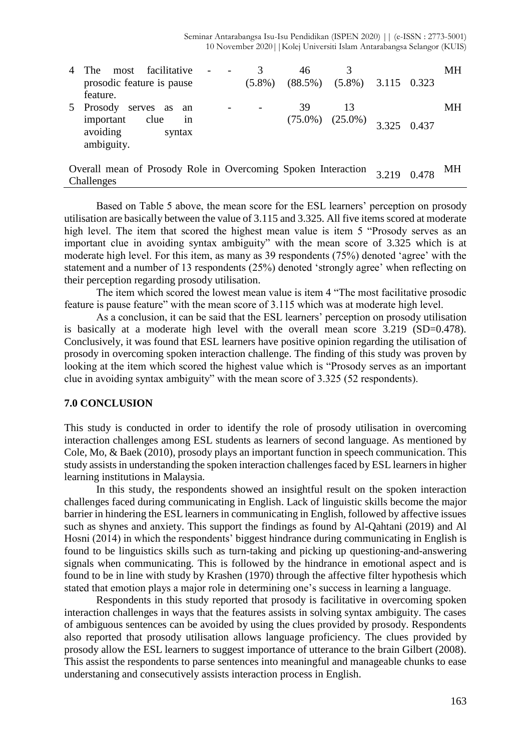| 4             | facilitative<br>most<br>The <sub>1</sub>                                                            |  | 3         | 46               |                  |             |       | MН  |
|---------------|-----------------------------------------------------------------------------------------------------|--|-----------|------------------|------------------|-------------|-------|-----|
|               | prosodic feature is pause<br>feature.                                                               |  | $(5.8\%)$ | $(88.5\%)$       | $(5.8\%)$        | 3.115 0.323 |       |     |
| $\mathcal{L}$ | Prosody<br>serves<br><b>as</b><br>an<br>important<br>clue<br>1n<br>avoiding<br>syntax<br>ambiguity. |  | -         | 39<br>$(75.0\%)$ | 13<br>$(25.0\%)$ | 3.325       | 0.437 | MН  |
|               | Overall mean of Prosody Role in Overcoming Spoken Interaction<br>Challenges                         |  |           |                  |                  | 3.219       | 0.478 | MH. |

Based on Table 5 above, the mean score for the ESL learners' perception on prosody utilisation are basically between the value of 3.115 and 3.325. All five items scored at moderate high level. The item that scored the highest mean value is item 5 "Prosody serves as an important clue in avoiding syntax ambiguity" with the mean score of 3.325 which is at moderate high level. For this item, as many as 39 respondents (75%) denoted 'agree' with the statement and a number of 13 respondents (25%) denoted 'strongly agree' when reflecting on their perception regarding prosody utilisation.

The item which scored the lowest mean value is item 4 "The most facilitative prosodic feature is pause feature" with the mean score of 3.115 which was at moderate high level.

As a conclusion, it can be said that the ESL learners' perception on prosody utilisation is basically at a moderate high level with the overall mean score 3.219 (SD=0.478). Conclusively, it was found that ESL learners have positive opinion regarding the utilisation of prosody in overcoming spoken interaction challenge. The finding of this study was proven by looking at the item which scored the highest value which is "Prosody serves as an important clue in avoiding syntax ambiguity" with the mean score of 3.325 (52 respondents).

## **7.0 CONCLUSION**

This study is conducted in order to identify the role of prosody utilisation in overcoming interaction challenges among ESL students as learners of second language. As mentioned by Cole, Mo, & Baek (2010), prosody plays an important function in speech communication. This study assists in understanding the spoken interaction challenges faced by ESL learners in higher learning institutions in Malaysia.

In this study, the respondents showed an insightful result on the spoken interaction challenges faced during communicating in English. Lack of linguistic skills become the major barrier in hindering the ESL learners in communicating in English, followed by affective issues such as shynes and anxiety. This support the findings as found by Al-Qahtani (2019) and Al Hosni (2014) in which the respondents' biggest hindrance during communicating in English is found to be linguistics skills such as turn-taking and picking up questioning-and-answering signals when communicating. This is followed by the hindrance in emotional aspect and is found to be in line with study by Krashen (1970) through the affective filter hypothesis which stated that emotion plays a major role in determining one's success in learning a language.

Respondents in this study reported that prosody is facilitative in overcoming spoken interaction challenges in ways that the features assists in solving syntax ambiguity. The cases of ambiguous sentences can be avoided by using the clues provided by prosody. Respondents also reported that prosody utilisation allows language proficiency. The clues provided by prosody allow the ESL learners to suggest importance of utterance to the brain Gilbert (2008). This assist the respondents to parse sentences into meaningful and manageable chunks to ease understaning and consecutively assists interaction process in English.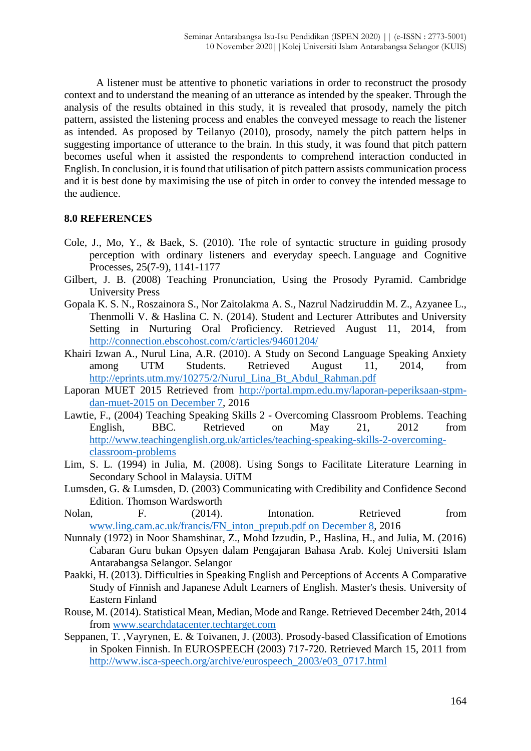A listener must be attentive to phonetic variations in order to reconstruct the prosody context and to understand the meaning of an utterance as intended by the speaker. Through the analysis of the results obtained in this study, it is revealed that prosody, namely the pitch pattern, assisted the listening process and enables the conveyed message to reach the listener as intended. As proposed by Teilanyo (2010), prosody, namely the pitch pattern helps in suggesting importance of utterance to the brain. In this study, it was found that pitch pattern becomes useful when it assisted the respondents to comprehend interaction conducted in English. In conclusion, it is found that utilisation of pitch pattern assists communication process and it is best done by maximising the use of pitch in order to convey the intended message to the audience.

## **8.0 REFERENCES**

- Cole, J., Mo, Y., & Baek, S. (2010). The role of syntactic structure in guiding prosody perception with ordinary listeners and everyday speech. Language and Cognitive Processes, 25(7-9), 1141-1177
- Gilbert, J. B. (2008) Teaching Pronunciation, Using the Prosody Pyramid. Cambridge University Press
- Gopala K. S. N., Roszainora S., Nor Zaitolakma A. S., Nazrul Nadziruddin M. Z., Azyanee L., Thenmolli V. & Haslina C. N. (2014). Student and Lecturer Attributes and University Setting in Nurturing Oral Proficiency. Retrieved August 11, 2014, from <http://connection.ebscohost.com/c/articles/94601204/>
- Khairi Izwan A., Nurul Lina, A.R. (2010). A Study on Second Language Speaking Anxiety among UTM Students. Retrieved August 11, 2014, from [http://eprints.utm.my/10275/2/Nurul\\_Lina\\_Bt\\_Abdul\\_Rahman.pdf](http://eprints.utm.my/10275/2/Nurul_Lina_Bt_Abdul_Rahman.pdf)
- Laporan MUET 2015 Retrieved from [http://portal.mpm.edu.my/laporan-peperiksaan-stpm](http://portal.mpm.edu.my/laporan-peperiksaan-stpm-dan-muet-2015%20on%20December%207)[dan-muet-2015 on December 7,](http://portal.mpm.edu.my/laporan-peperiksaan-stpm-dan-muet-2015%20on%20December%207) 2016
- Lawtie, F., (2004) Teaching Speaking Skills 2 Overcoming Classroom Problems. Teaching English, BBC. Retrieved on May 21, 2012 from [http://www.teachingenglish.org.uk/articles/teaching-speaking-skills-2-overcoming](http://www.teachingenglish.org.uk/articles/teaching-speaking-skills-2-overcoming-classroom-problems)[classroom-problems](http://www.teachingenglish.org.uk/articles/teaching-speaking-skills-2-overcoming-classroom-problems)
- Lim, S. L. (1994) in Julia, M. (2008). Using Songs to Facilitate Literature Learning in Secondary School in Malaysia. UiTM
- Lumsden, G. & Lumsden, D. (2003) Communicating with Credibility and Confidence Second Edition. Thomson Wardsworth
- Nolan, F. (2014). Intonation. Retrieved from [www.ling.cam.ac.uk/francis/FN\\_inton\\_prepub.pdf on December 8,](http://www.ling.cam.ac.uk/francis/FN_inton_prepub.pdf%20on%20December%208) 2016
- Nunnaly (1972) in Noor Shamshinar, Z., Mohd Izzudin, P., Haslina, H., and Julia, M. (2016) Cabaran Guru bukan Opsyen dalam Pengajaran Bahasa Arab. Kolej Universiti Islam Antarabangsa Selangor. Selangor
- Paakki, H. (2013). Difficulties in Speaking English and Perceptions of Accents A Comparative Study of Finnish and Japanese Adult Learners of English. Master's thesis. University of Eastern Finland
- Rouse, M. (2014). Statistical Mean, Median, Mode and Range. Retrieved December 24th, 2014 from [www.searchdatacenter.techtarget.com](http://www.searchdatacenter.techtarget.com/)
- Seppanen, T. ,Vayrynen, E. & Toivanen, J. (2003). Prosody-based Classification of Emotions in Spoken Finnish. In EUROSPEECH (2003) 717-720. Retrieved March 15, 2011 from [http://www.isca-speech.org/archive/eurospeech\\_2003/e03\\_0717.html](http://www.isca-speech.org/archive/eurospeech_2003/e03_0717.html)